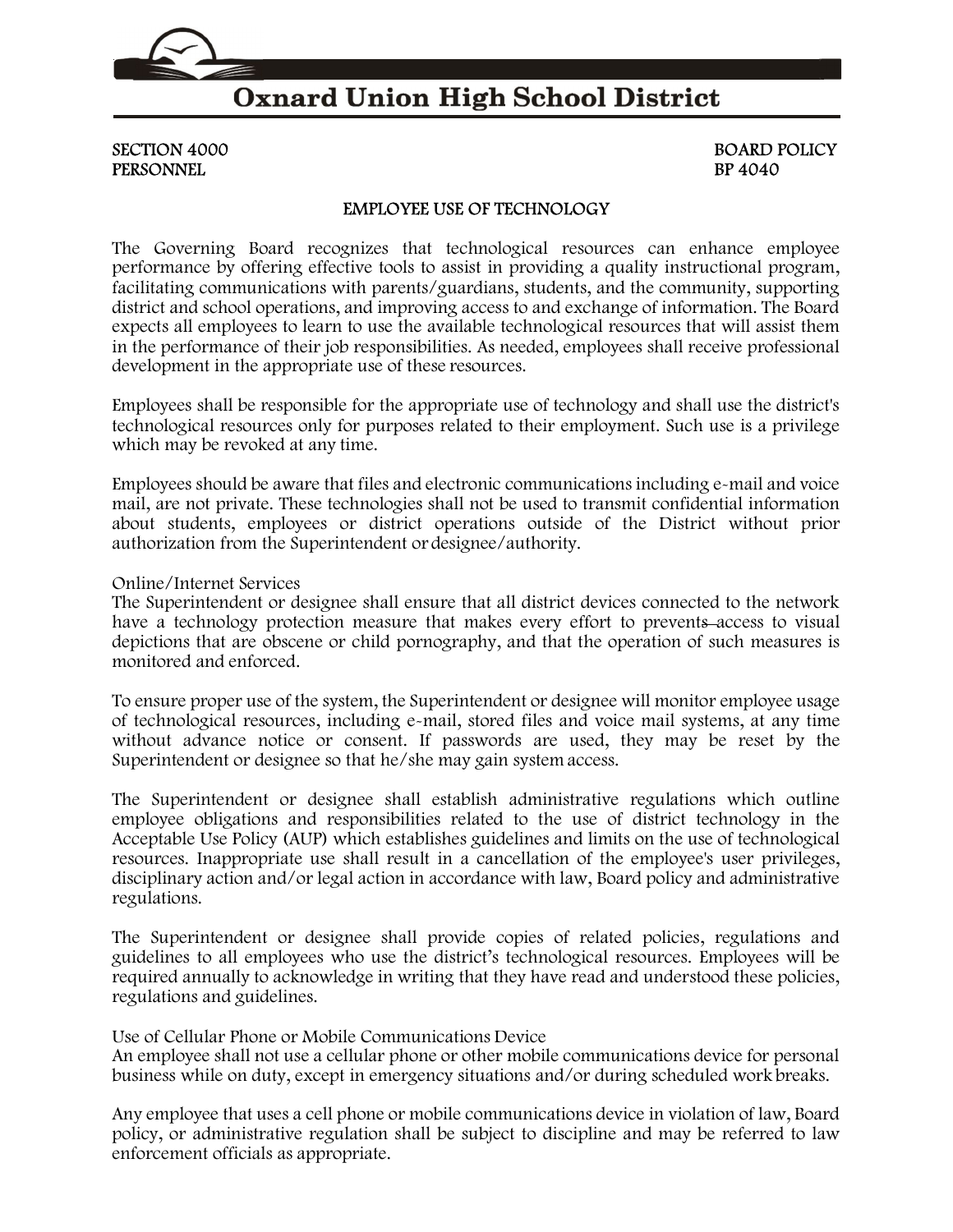

### **Oxnard Union High School District**

# PERSONNEL BP 4040

# SECTION 4000 BOARD POLICY

#### EMPLOYEE USE OF TECHNOLOGY

The Governing Board recognizes that technological resources can enhance employee performance by offering effective tools to assist in providing a quality instructional program, facilitating communications with parents/guardians, students, and the community, supporting district and school operations, and improving access to and exchange of information. The Board expects all employees to learn to use the available technological resources that will assist them in the performance of their job responsibilities. As needed, employees shall receive professional development in the appropriate use of these resources.

Employees shall be responsible for the appropriate use of technology and shall use the district's technological resources only for purposes related to their employment. Such use is a privilege which may be revoked at any time.

Employees should be aware that files and electronic communications including e-mail and voice mail, are not private. These technologies shall not be used to transmit confidential information about students, employees or district operations outside of the District without prior authorization from the Superintendent or designee/authority.

#### Online/Internet Services

The Superintendent or designee shall ensure that all district devices connected to the network have a technology protection measure that makes every effort to prevents access to visual depictions that are obscene or child pornography, and that the operation of such measures is monitored and enforced.

To ensure proper use of the system, the Superintendent or designee will monitor employee usage of technological resources, including e-mail, stored files and voice mail systems, at any time without advance notice or consent. If passwords are used, they may be reset by the Superintendent or designee so that he/she may gain system access.

The Superintendent or designee shall establish administrative regulations which outline employee obligations and responsibilities related to the use of district technology in the Acceptable Use Policy (AUP) which establishes guidelines and limits on the use of technological resources. Inappropriate use shall result in a cancellation of the employee's user privileges, disciplinary action and/or legal action in accordance with law, Board policy and administrative regulations.

The Superintendent or designee shall provide copies of related policies, regulations and guidelines to all employees who use the district's technological resources. Employees will be required annually to acknowledge in writing that they have read and understood these policies, regulations and guidelines.

Use of Cellular Phone or Mobile Communications Device

An employee shall not use a cellular phone or other mobile communications device for personal business while on duty, except in emergency situations and/or during scheduled work breaks.

Any employee that uses a cell phone or mobile communications device in violation of law, Board policy, or administrative regulation shall be subject to discipline and may be referred to law enforcement officials as appropriate.